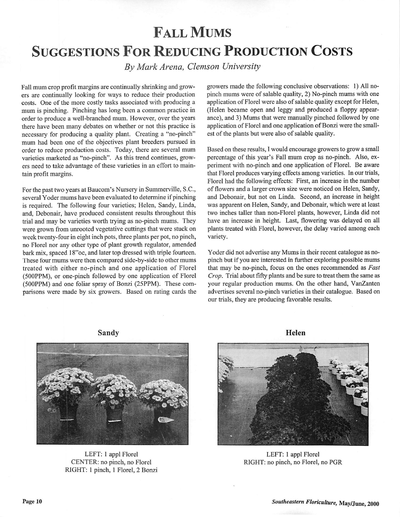## Fall Mums SUGGESTIONS FOR REDUCING PRODUCTION COSTS

**By Mark Arena, Clemson University**

Fall mum crop profit margins are continually shrinking and grow ers are continually looking for ways to reduce their production costs. One of the more costly tasks associated with producing a mum is pinching. Pinching has long been a common practice in order to produce a well-branched mum. However, over the years there have been many debates on whether or not this practice is necessary for producing a quality plant. Creating a "no-pinch" mum had been one of the objectives plant breeders pursued in order to reduce production costs. Today, there are several mum varieties marketed as "no-pinch". As this trend continues, grow ers need to take advantage of these varieties in an effort to maintain profit margins.

For the past two years at Baucom's Nursery in Summerville, S.C., several Yoder mums have been evaluated to determine if pinching is required. The following four varieties; Helen, Sandy, Linda, and, Debonair, have produced consistent results throughout this trial and may be varieties worth trying as no-pinch mums. They were grown from unrooted vegetative cuttings that were stuck on week twenty-four in eight inch pots, three plants per pot, no pinch, no Florel nor any other type of plant growth regulator, amended bark mix, spaced 18"oc, and later top dressed with triple fourteen. These four mums were then compared side-by-side to other mums treated with either no-pinch and one application of Florel (500PPM), or one-pinch followed by one application of Florel (500PPM) and one foliar spray of Bonzi (25PPM). These com parisons were made by six growers. Based on rating cards the growers made the following conclusive observations: 1) All nopinch mums were of salable quality, 2) No-pinch mums with one application of Florel were also of salable quality except for Helen, (Helen became open and leggy and produced a floppy appear ance), and 3) Mums that were manually pinched followed by one application of Florel and one application of Bonzi were the smallest of the plants but were also of salable quality.

Based on these results, I would encourage growers to grow a small percentage of this year's Fall mum crop as no-pinch. Also, ex periment with no-pinch and one application of Florel. Be aware that Florel produces varying effects among varieties. In our trials, Florel had the following effects: First, an increase in the number of flowers and a larger crown size were noticed on Helen, Sandy, and Debonair, but not on Linda. Second, an increase in height was apparent on Helen, Sandy, and Debonair, which were at least two inches taller than non-Florel plants, however, Linda did not have an increase in height. Last, flowering was delayed on all plants treated with Florel, however, the delay varied among each variety.

Yoder did not advertise any Mums in their recent catalogue as nopinch but if you are interested in further exploring possible mums that may be no-pinch, focus on the ones recommended as **Fast Crop.** Trial about fifty plants and be sure to treat them the same as your regular production mums. On the other hand, VanZanten advertises several no-pinch varieties in their catalogue. Based on our trials, they are producing favorable results.





LEFT: 1 appl Florel CENTER: no pinch, no Florel RIGHT: 1 pinch, 1 Florel, 2 Bonzi

*Helen*



LEFT: 1 appl Florel RIGHT: no pinch, no Florel, no PGR